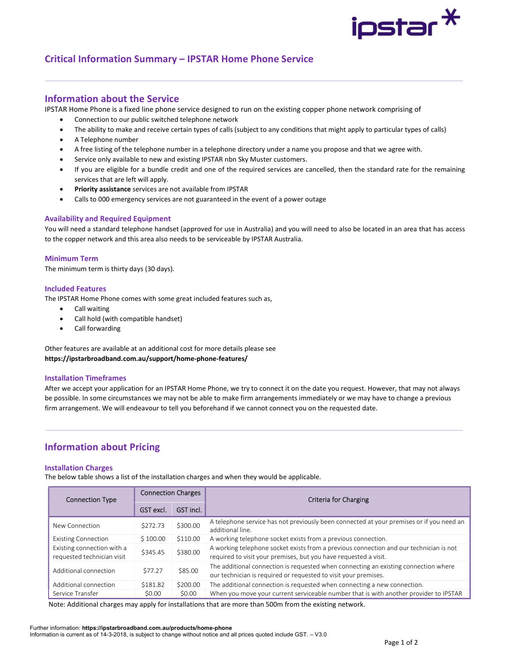

# Critical Information Summary – IPSTAR Home Phone Service

## Information about the Service

IPSTAR Home Phone is a fixed line phone service designed to run on the existing copper phone network comprising of

- Connection to our public switched telephone network
- The ability to make and receive certain types of calls (subject to any conditions that might apply to particular types of calls)
- A Telephone number
- A free listing of the telephone number in a telephone directory under a name you propose and that we agree with.
- Service only available to new and existing IPSTAR nbn Sky Muster customers.
- If you are eligible for a bundle credit and one of the required services are cancelled, then the standard rate for the remaining services that are left will apply.
- Priority assistance services are not available from IPSTAR
- Calls to 000 emergency services are not guaranteed in the event of a power outage

## Availability and Required Equipment

You will need a standard telephone handset (approved for use in Australia) and you will need to also be located in an area that has access to the copper network and this area also needs to be serviceable by IPSTAR Australia.

## Minimum Term

The minimum term is thirty days (30 days).

## Included Features

The IPSTAR Home Phone comes with some great included features such as,

- **•** Call waiting
- Call hold (with compatible handset)
- Call forwarding

Other features are available at an additional cost for more details please see https://ipstarbroadband.com.au/support/home-phone-features/

## Installation Timeframes

After we accept your application for an IPSTAR Home Phone, we try to connect it on the date you request. However, that may not always be possible. In some circumstances we may not be able to make firm arrangements immediately or we may have to change a previous firm arrangement. We will endeavour to tell you beforehand if we cannot connect you on the requested date.

# Information about Pricing

## Installation Charges

The below table shows a list of the installation charges and when they would be applicable.

| <b>Connection Type</b>                                   | <b>Connection Charges</b> |           | Criteria for Charging                                                                                                                                      |  |
|----------------------------------------------------------|---------------------------|-----------|------------------------------------------------------------------------------------------------------------------------------------------------------------|--|
|                                                          | GST excl.                 | GST incl. |                                                                                                                                                            |  |
| New Connection                                           | \$272.73                  | \$300.00  | A telephone service has not previously been connected at your premises or if you need an<br>additional line.                                               |  |
| <b>Existing Connection</b>                               | \$100.00                  | \$110.00  | A working telephone socket exists from a previous connection.                                                                                              |  |
| Existing connection with a<br>requested technician visit | \$345.45                  | \$380.00  | A working telephone socket exists from a previous connection and our technician is not<br>required to visit your premises, but you have requested a visit. |  |
| Additional connection                                    | \$77.27                   | \$85.00   | The additional connection is requested when connecting an existing connection where<br>our technician is required or requested to visit your premises.     |  |
| Additional connection                                    | \$181.82                  | \$200.00  | The additional connection is requested when connecting a new connection.                                                                                   |  |
| Service Transfer                                         | \$0.00                    | \$0.00    | When you move your current serviceable number that is with another provider to IPSTAR                                                                      |  |

Note: Additional charges may apply for installations that are more than 500m from the existing network.